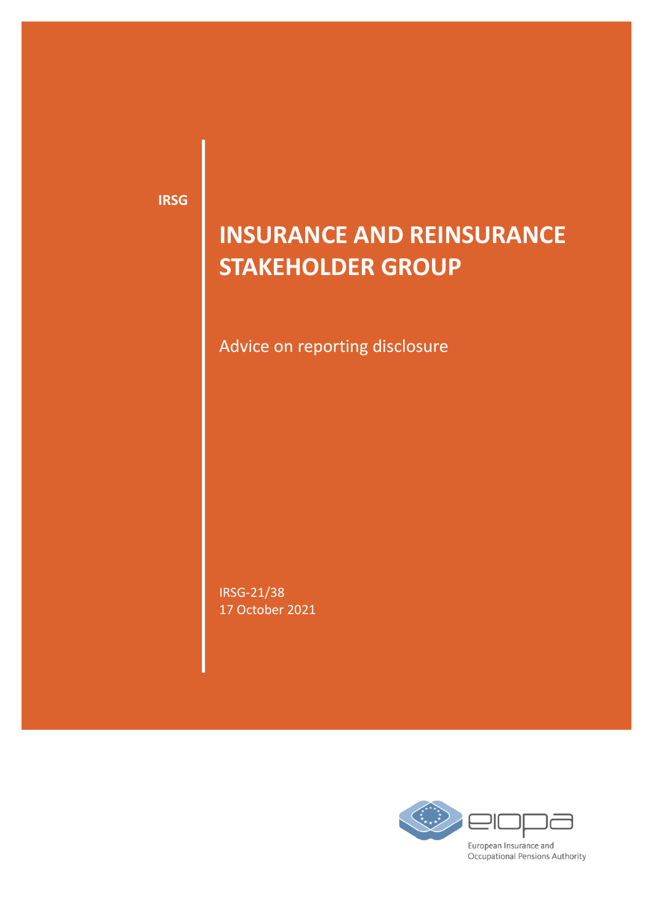**IRSG**

# **INSURANCE AND REINSURANCE STAKEHOLDER GROUP**

Advice on reporting disclosure

IRSG-21/38 17 October 2021

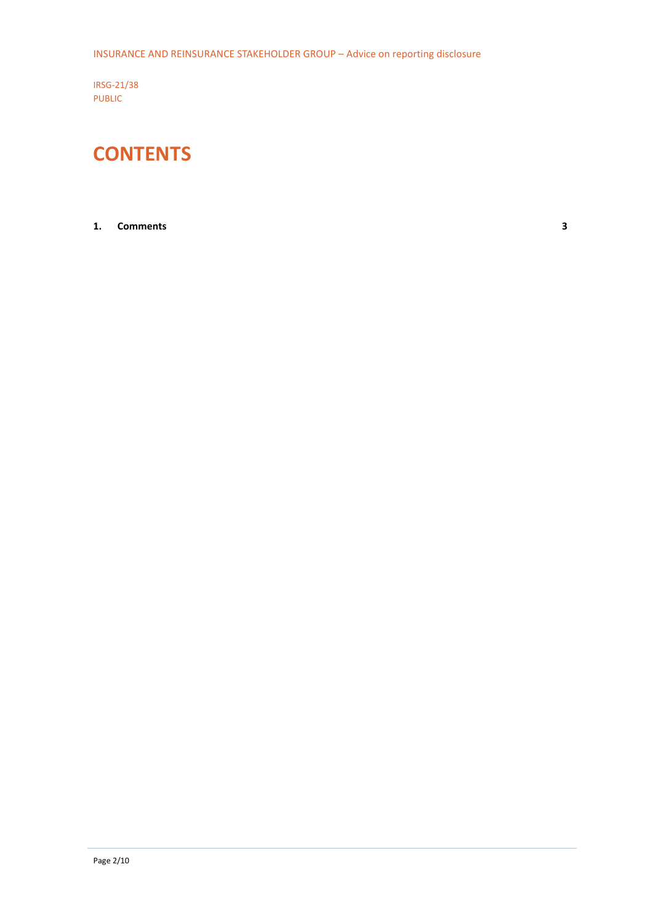IRSG-21/38 PUBLIC

# **CONTENTS**

### **1. [Comments](#page-2-0) 3**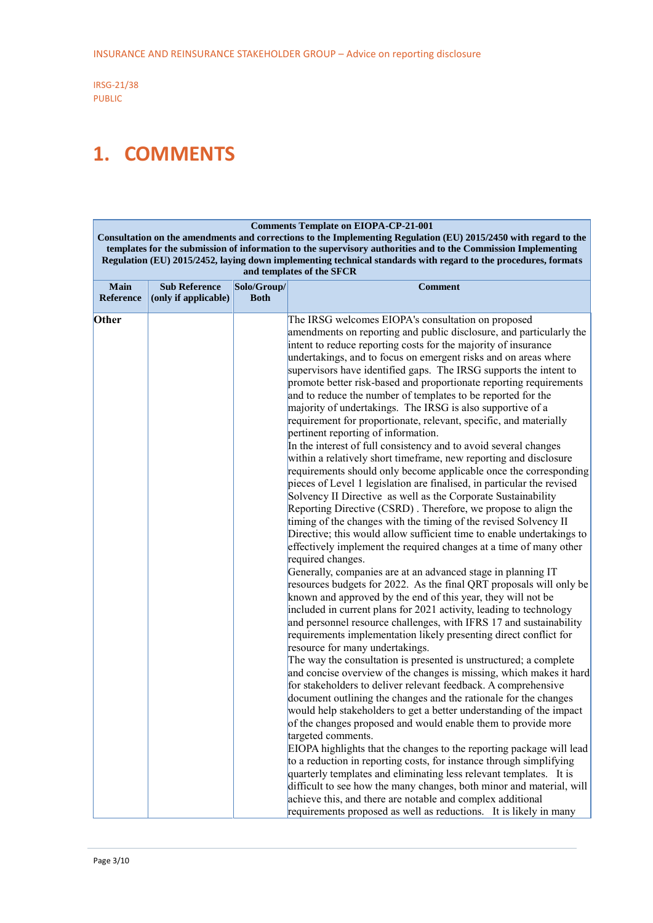## <span id="page-2-0"></span>**1. COMMENTS**

#### **Comments Template on EIOPA-CP-21-001**

**Consultation on the amendments and corrections to the Implementing Regulation (EU) 2015/2450 with regard to the templates for the submission of information to the supervisory authorities and to the Commission Implementing Regulation (EU) 2015/2452, laying down implementing technical standards with regard to the procedures, formats and templates of the SFCR**

| Main<br><b>Reference</b> | <b>Sub Reference</b><br>(only if applicable) | Solo/Group/<br><b>Both</b> | <b>Comment</b>                                                                                                                                                                                                                                                                                                                                                                                                                                                                                                                                                                                                                                                                                                                                                                                                                                                                                                                                                                                                                                                                                                                                                                                                                                                                                                                                                                                                                                                                                                                                                                                                                                                                                                                                                                                                                                                                                                                |
|--------------------------|----------------------------------------------|----------------------------|-------------------------------------------------------------------------------------------------------------------------------------------------------------------------------------------------------------------------------------------------------------------------------------------------------------------------------------------------------------------------------------------------------------------------------------------------------------------------------------------------------------------------------------------------------------------------------------------------------------------------------------------------------------------------------------------------------------------------------------------------------------------------------------------------------------------------------------------------------------------------------------------------------------------------------------------------------------------------------------------------------------------------------------------------------------------------------------------------------------------------------------------------------------------------------------------------------------------------------------------------------------------------------------------------------------------------------------------------------------------------------------------------------------------------------------------------------------------------------------------------------------------------------------------------------------------------------------------------------------------------------------------------------------------------------------------------------------------------------------------------------------------------------------------------------------------------------------------------------------------------------------------------------------------------------|
| Other                    |                                              |                            | The IRSG welcomes EIOPA's consultation on proposed<br>amendments on reporting and public disclosure, and particularly the<br>intent to reduce reporting costs for the majority of insurance<br>undertakings, and to focus on emergent risks and on areas where<br>supervisors have identified gaps. The IRSG supports the intent to<br>promote better risk-based and proportionate reporting requirements<br>and to reduce the number of templates to be reported for the<br>majority of undertakings. The IRSG is also supportive of a<br>requirement for proportionate, relevant, specific, and materially<br>pertinent reporting of information.<br>In the interest of full consistency and to avoid several changes<br>within a relatively short timeframe, new reporting and disclosure<br>requirements should only become applicable once the corresponding<br>pieces of Level 1 legislation are finalised, in particular the revised<br>Solvency II Directive as well as the Corporate Sustainability<br>Reporting Directive (CSRD). Therefore, we propose to align the<br>timing of the changes with the timing of the revised Solvency II<br>Directive; this would allow sufficient time to enable undertakings to<br>effectively implement the required changes at a time of many other<br>required changes.<br>Generally, companies are at an advanced stage in planning IT<br>resources budgets for 2022. As the final QRT proposals will only be<br>known and approved by the end of this year, they will not be<br>included in current plans for 2021 activity, leading to technology<br>and personnel resource challenges, with IFRS 17 and sustainability<br>requirements implementation likely presenting direct conflict for<br>resource for many undertakings.<br>The way the consultation is presented is unstructured; a complete<br>and concise overview of the changes is missing, which makes it hard |
|                          |                                              |                            | for stakeholders to deliver relevant feedback. A comprehensive<br>document outlining the changes and the rationale for the changes<br>would help stakeholders to get a better understanding of the impact<br>of the changes proposed and would enable them to provide more<br>targeted comments.<br>EIOPA highlights that the changes to the reporting package will lead<br>to a reduction in reporting costs, for instance through simplifying<br>quarterly templates and eliminating less relevant templates. It is<br>difficult to see how the many changes, both minor and material, will                                                                                                                                                                                                                                                                                                                                                                                                                                                                                                                                                                                                                                                                                                                                                                                                                                                                                                                                                                                                                                                                                                                                                                                                                                                                                                                                 |
|                          |                                              |                            | achieve this, and there are notable and complex additional<br>requirements proposed as well as reductions. It is likely in many                                                                                                                                                                                                                                                                                                                                                                                                                                                                                                                                                                                                                                                                                                                                                                                                                                                                                                                                                                                                                                                                                                                                                                                                                                                                                                                                                                                                                                                                                                                                                                                                                                                                                                                                                                                               |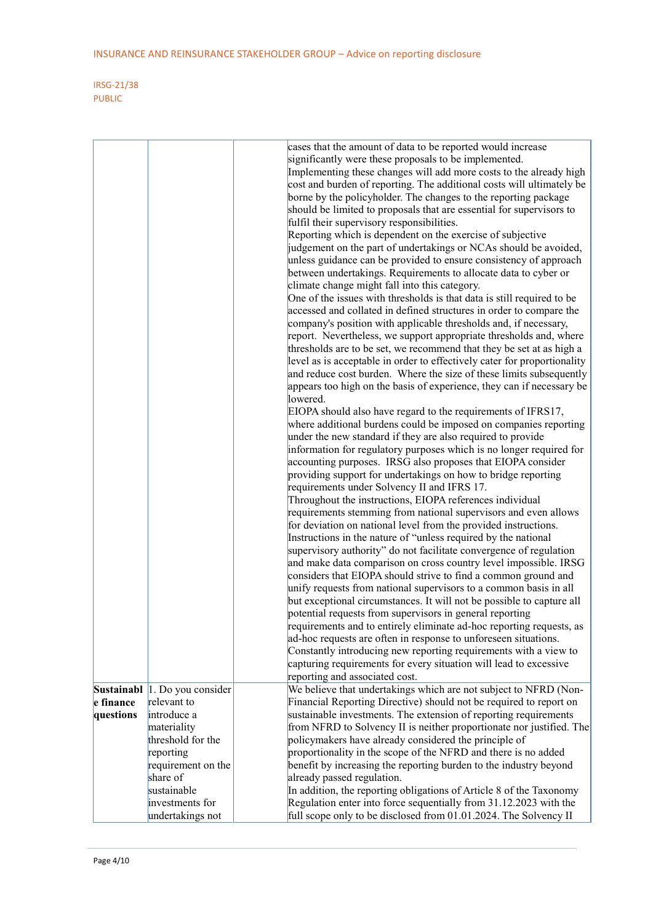|           |                               | cases that the amount of data to be reported would increase                                                                           |  |
|-----------|-------------------------------|---------------------------------------------------------------------------------------------------------------------------------------|--|
|           |                               | significantly were these proposals to be implemented.                                                                                 |  |
|           |                               | Implementing these changes will add more costs to the already high                                                                    |  |
|           |                               | cost and burden of reporting. The additional costs will ultimately be                                                                 |  |
|           |                               | borne by the policyholder. The changes to the reporting package                                                                       |  |
|           |                               | should be limited to proposals that are essential for supervisors to                                                                  |  |
|           |                               | fulfil their supervisory responsibilities.                                                                                            |  |
|           |                               | Reporting which is dependent on the exercise of subjective                                                                            |  |
|           |                               | judgement on the part of undertakings or NCAs should be avoided,                                                                      |  |
|           |                               | unless guidance can be provided to ensure consistency of approach                                                                     |  |
|           |                               | between undertakings. Requirements to allocate data to cyber or                                                                       |  |
|           |                               | climate change might fall into this category.                                                                                         |  |
|           |                               | One of the issues with thresholds is that data is still required to be                                                                |  |
|           |                               | accessed and collated in defined structures in order to compare the                                                                   |  |
|           |                               | company's position with applicable thresholds and, if necessary,                                                                      |  |
|           |                               | report. Nevertheless, we support appropriate thresholds and, where                                                                    |  |
|           |                               | thresholds are to be set, we recommend that they be set at as high a                                                                  |  |
|           |                               | level as is acceptable in order to effectively cater for proportionality                                                              |  |
|           |                               | and reduce cost burden. Where the size of these limits subsequently                                                                   |  |
|           |                               | appears too high on the basis of experience, they can if necessary be                                                                 |  |
|           |                               | lowered.                                                                                                                              |  |
|           |                               | EIOPA should also have regard to the requirements of IFRS17,                                                                          |  |
|           |                               | where additional burdens could be imposed on companies reporting                                                                      |  |
|           |                               | under the new standard if they are also required to provide                                                                           |  |
|           |                               | information for regulatory purposes which is no longer required for                                                                   |  |
|           |                               | accounting purposes. IRSG also proposes that EIOPA consider                                                                           |  |
|           |                               | providing support for undertakings on how to bridge reporting                                                                         |  |
|           |                               | requirements under Solvency II and IFRS 17.                                                                                           |  |
|           |                               | Throughout the instructions, EIOPA references individual                                                                              |  |
|           |                               | requirements stemming from national supervisors and even allows                                                                       |  |
|           |                               | for deviation on national level from the provided instructions.                                                                       |  |
|           |                               | Instructions in the nature of "unless required by the national                                                                        |  |
|           |                               | supervisory authority" do not facilitate convergence of regulation                                                                    |  |
|           |                               | and make data comparison on cross country level impossible. IRSG                                                                      |  |
|           |                               | considers that EIOPA should strive to find a common ground and                                                                        |  |
|           |                               | unify requests from national supervisors to a common basis in all                                                                     |  |
|           |                               | but exceptional circumstances. It will not be possible to capture all                                                                 |  |
|           |                               | potential requests from supervisors in general reporting                                                                              |  |
|           |                               | requirements and to entirely eliminate ad-hoc reporting requests, as                                                                  |  |
|           |                               | ad-hoc requests are often in response to unforeseen situations.                                                                       |  |
|           |                               | Constantly introducing new reporting requirements with a view to                                                                      |  |
|           |                               | capturing requirements for every situation will lead to excessive                                                                     |  |
|           |                               | reporting and associated cost.                                                                                                        |  |
|           | Sustainabl 1. Do you consider | We believe that undertakings which are not subject to NFRD (Non-                                                                      |  |
| e finance | relevant to                   | Financial Reporting Directive) should not be required to report on                                                                    |  |
| questions | introduce a                   | sustainable investments. The extension of reporting requirements                                                                      |  |
|           | materiality                   | from NFRD to Solvency II is neither proportionate nor justified. The                                                                  |  |
|           | threshold for the             | policymakers have already considered the principle of                                                                                 |  |
|           | reporting                     | proportionality in the scope of the NFRD and there is no added                                                                        |  |
|           | requirement on the            | benefit by increasing the reporting burden to the industry beyond                                                                     |  |
|           | share of                      | already passed regulation.                                                                                                            |  |
|           | sustainable                   | In addition, the reporting obligations of Article 8 of the Taxonomy                                                                   |  |
|           | investments for               | Regulation enter into force sequentially from 31.12.2023 with the<br>full scope only to be disclosed from 01.01.2024. The Solvency II |  |
|           | undertakings not              |                                                                                                                                       |  |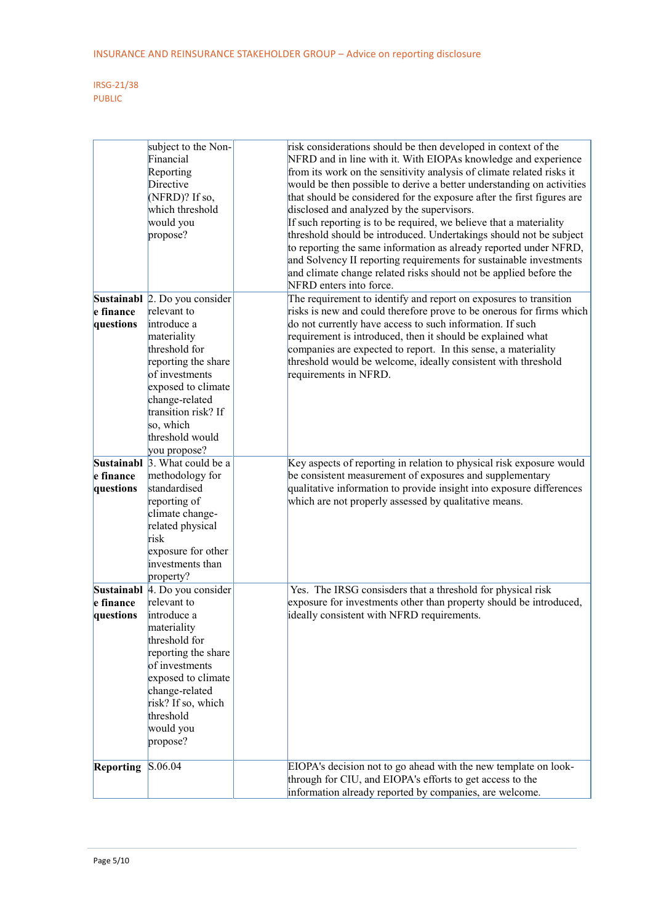|                        | subject to the Non-<br>Financial<br>Reporting<br>Directive<br>(NFRD)? If so,<br>which threshold<br>would you<br>propose?                                                                                | risk considerations should be then developed in context of the<br>NFRD and in line with it. With EIOPAs knowledge and experience<br>from its work on the sensitivity analysis of climate related risks it<br>would be then possible to derive a better understanding on activities<br>that should be considered for the exposure after the first figures are<br>disclosed and analyzed by the supervisors.<br>If such reporting is to be required, we believe that a materiality<br>threshold should be introduced. Undertakings should not be subject<br>to reporting the same information as already reported under NFRD,<br>and Solvency II reporting requirements for sustainable investments<br>and climate change related risks should not be applied before the<br>NFRD enters into force. |
|------------------------|---------------------------------------------------------------------------------------------------------------------------------------------------------------------------------------------------------|---------------------------------------------------------------------------------------------------------------------------------------------------------------------------------------------------------------------------------------------------------------------------------------------------------------------------------------------------------------------------------------------------------------------------------------------------------------------------------------------------------------------------------------------------------------------------------------------------------------------------------------------------------------------------------------------------------------------------------------------------------------------------------------------------|
|                        | Sustainabl 2. Do you consider                                                                                                                                                                           | The requirement to identify and report on exposures to transition                                                                                                                                                                                                                                                                                                                                                                                                                                                                                                                                                                                                                                                                                                                                 |
| e finance              | relevant to                                                                                                                                                                                             | risks is new and could therefore prove to be onerous for firms which                                                                                                                                                                                                                                                                                                                                                                                                                                                                                                                                                                                                                                                                                                                              |
| questions              | introduce a<br>materiality<br>threshold for<br>reporting the share<br>of investments<br>exposed to climate<br>change-related<br>transition risk? If<br>so, which<br>threshold would                     | do not currently have access to such information. If such<br>requirement is introduced, then it should be explained what<br>companies are expected to report. In this sense, a materiality<br>threshold would be welcome, ideally consistent with threshold<br>requirements in NFRD.                                                                                                                                                                                                                                                                                                                                                                                                                                                                                                              |
|                        | you propose?                                                                                                                                                                                            |                                                                                                                                                                                                                                                                                                                                                                                                                                                                                                                                                                                                                                                                                                                                                                                                   |
| e finance<br>questions | Sustainabl $\beta$ . What could be a<br>methodology for<br>standardised<br>reporting of<br>climate change-<br>related physical<br>risk<br>exposure for other<br>investments than<br>property?           | Key aspects of reporting in relation to physical risk exposure would<br>be consistent measurement of exposures and supplementary<br>qualitative information to provide insight into exposure differences<br>which are not properly assessed by qualitative means.                                                                                                                                                                                                                                                                                                                                                                                                                                                                                                                                 |
|                        | Sustainabl 4. Do you consider                                                                                                                                                                           | Yes. The IRSG consisders that a threshold for physical risk                                                                                                                                                                                                                                                                                                                                                                                                                                                                                                                                                                                                                                                                                                                                       |
| e finance<br>questions | relevant to<br>introduce a<br>materiality<br>threshold for<br>reporting the share<br>of investments<br>exposed to climate<br>change-related<br>risk? If so, which<br>threshold<br>would you<br>propose? | exposure for investments other than property should be introduced,<br>ideally consistent with NFRD requirements.                                                                                                                                                                                                                                                                                                                                                                                                                                                                                                                                                                                                                                                                                  |
| Reporting              | S.06.04                                                                                                                                                                                                 | EIOPA's decision not to go ahead with the new template on look-                                                                                                                                                                                                                                                                                                                                                                                                                                                                                                                                                                                                                                                                                                                                   |
|                        |                                                                                                                                                                                                         | through for CIU, and EIOPA's efforts to get access to the                                                                                                                                                                                                                                                                                                                                                                                                                                                                                                                                                                                                                                                                                                                                         |
|                        |                                                                                                                                                                                                         | information already reported by companies, are welcome.                                                                                                                                                                                                                                                                                                                                                                                                                                                                                                                                                                                                                                                                                                                                           |
|                        |                                                                                                                                                                                                         |                                                                                                                                                                                                                                                                                                                                                                                                                                                                                                                                                                                                                                                                                                                                                                                                   |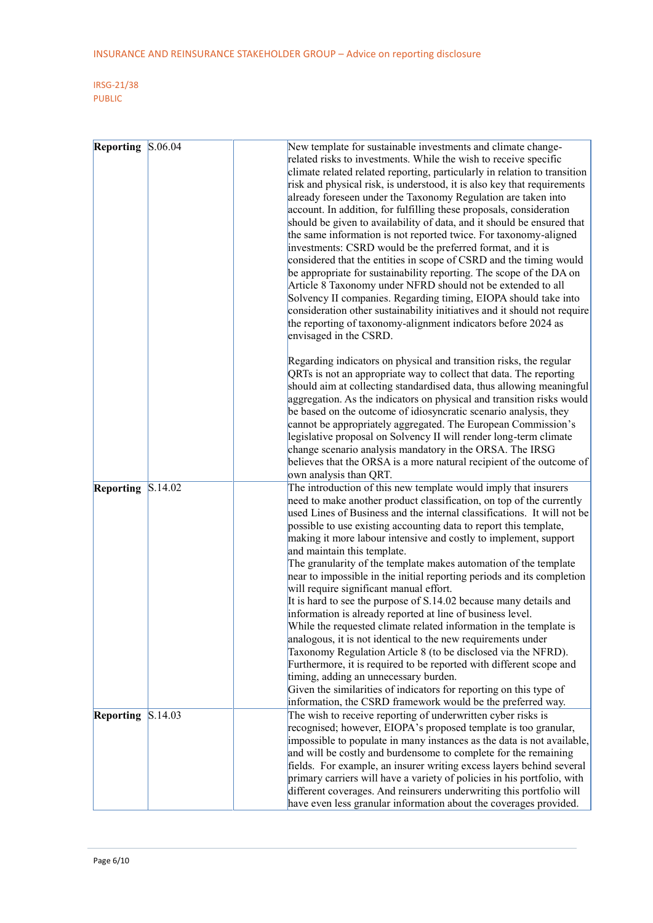| Reporting | S.06.04 | New template for sustainable investments and climate change-<br>related risks to investments. While the wish to receive specific<br>climate related related reporting, particularly in relation to transition<br>risk and physical risk, is understood, it is also key that requirements<br>already foreseen under the Taxonomy Regulation are taken into<br>account. In addition, for fulfilling these proposals, consideration<br>should be given to availability of data, and it should be ensured that<br>the same information is not reported twice. For taxonomy-aligned<br>investments: CSRD would be the preferred format, and it is<br>considered that the entities in scope of CSRD and the timing would<br>be appropriate for sustainability reporting. The scope of the DA on<br>Article 8 Taxonomy under NFRD should not be extended to all<br>Solvency II companies. Regarding timing, EIOPA should take into<br>consideration other sustainability initiatives and it should not require<br>the reporting of taxonomy-alignment indicators before 2024 as<br>envisaged in the CSRD.                  |
|-----------|---------|---------------------------------------------------------------------------------------------------------------------------------------------------------------------------------------------------------------------------------------------------------------------------------------------------------------------------------------------------------------------------------------------------------------------------------------------------------------------------------------------------------------------------------------------------------------------------------------------------------------------------------------------------------------------------------------------------------------------------------------------------------------------------------------------------------------------------------------------------------------------------------------------------------------------------------------------------------------------------------------------------------------------------------------------------------------------------------------------------------------------|
|           |         | Regarding indicators on physical and transition risks, the regular<br>QRTs is not an appropriate way to collect that data. The reporting<br>should aim at collecting standardised data, thus allowing meaningful<br>aggregation. As the indicators on physical and transition risks would<br>be based on the outcome of idiosyncratic scenario analysis, they<br>cannot be appropriately aggregated. The European Commission's<br>legislative proposal on Solvency II will render long-term climate<br>change scenario analysis mandatory in the ORSA. The IRSG<br>believes that the ORSA is a more natural recipient of the outcome of<br>own analysis than QRT.                                                                                                                                                                                                                                                                                                                                                                                                                                                   |
| Reporting | S.14.02 | The introduction of this new template would imply that insurers<br>need to make another product classification, on top of the currently<br>used Lines of Business and the internal classifications. It will not be<br>possible to use existing accounting data to report this template,<br>making it more labour intensive and costly to implement, support<br>and maintain this template.<br>The granularity of the template makes automation of the template<br>near to impossible in the initial reporting periods and its completion<br>will require significant manual effort.<br>It is hard to see the purpose of S.14.02 because many details and<br>information is already reported at line of business level.<br>While the requested climate related information in the template is<br>analogous, it is not identical to the new requirements under<br>Taxonomy Regulation Article 8 (to be disclosed via the NFRD).<br>Furthermore, it is required to be reported with different scope and<br>timing, adding an unnecessary burden.<br>Given the similarities of indicators for reporting on this type of |
| Reporting | S.14.03 | information, the CSRD framework would be the preferred way.<br>The wish to receive reporting of underwritten cyber risks is<br>recognised; however, EIOPA's proposed template is too granular,<br>impossible to populate in many instances as the data is not available,<br>and will be costly and burdensome to complete for the remaining<br>fields. For example, an insurer writing excess layers behind several<br>primary carriers will have a variety of policies in his portfolio, with<br>different coverages. And reinsurers underwriting this portfolio will<br>have even less granular information about the coverages provided.                                                                                                                                                                                                                                                                                                                                                                                                                                                                         |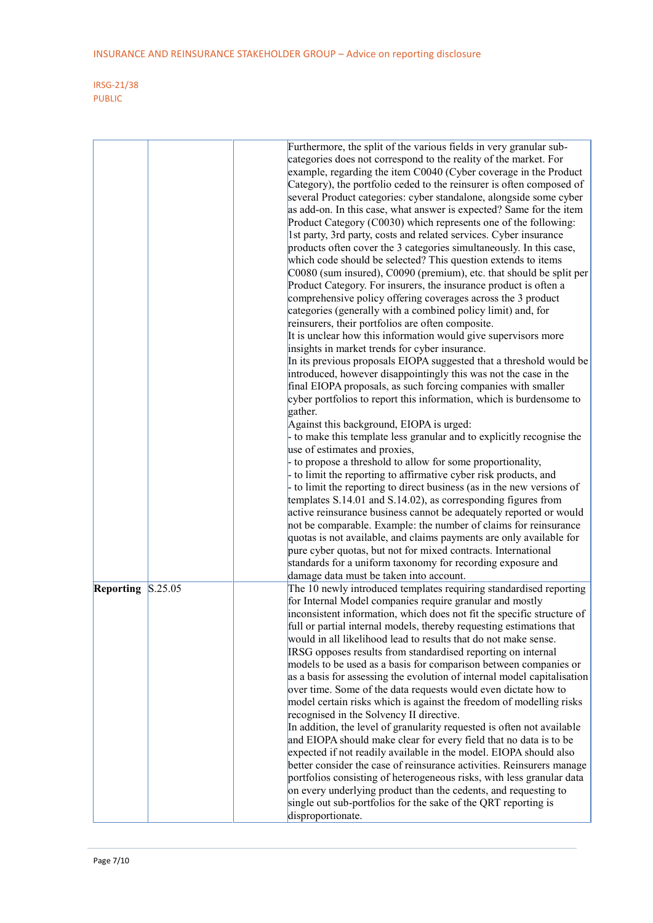|                      | Furthermore, the split of the various fields in very granular sub-<br>categories does not correspond to the reality of the market. For<br>example, regarding the item C0040 (Cyber coverage in the Product<br>Category), the portfolio ceded to the reinsurer is often composed of<br>several Product categories: cyber standalone, alongside some cyber<br>as add-on. In this case, what answer is expected? Same for the item<br>Product Category (C0030) which represents one of the following:<br>1st party, 3rd party, costs and related services. Cyber insurance<br>products often cover the 3 categories simultaneously. In this case,<br>which code should be selected? This question extends to items<br>C0080 (sum insured), C0090 (premium), etc. that should be split per<br>Product Category. For insurers, the insurance product is often a<br>comprehensive policy offering coverages across the 3 product<br>categories (generally with a combined policy limit) and, for<br>reinsurers, their portfolios are often composite.<br>It is unclear how this information would give supervisors more<br>insights in market trends for cyber insurance.<br>In its previous proposals EIOPA suggested that a threshold would be<br>introduced, however disappointingly this was not the case in the<br>final EIOPA proposals, as such forcing companies with smaller<br>cyber portfolios to report this information, which is burdensome to<br>gather.<br>Against this background, EIOPA is urged:<br>- to make this template less granular and to explicitly recognise the<br>use of estimates and proxies,<br>- to propose a threshold to allow for some proportionality,<br>to limit the reporting to affirmative cyber risk products, and<br>- to limit the reporting to direct business (as in the new versions of<br>templates S.14.01 and S.14.02), as corresponding figures from<br>active reinsurance business cannot be adequately reported or would<br>not be comparable. Example: the number of claims for reinsurance<br>quotas is not available, and claims payments are only available for |
|----------------------|----------------------------------------------------------------------------------------------------------------------------------------------------------------------------------------------------------------------------------------------------------------------------------------------------------------------------------------------------------------------------------------------------------------------------------------------------------------------------------------------------------------------------------------------------------------------------------------------------------------------------------------------------------------------------------------------------------------------------------------------------------------------------------------------------------------------------------------------------------------------------------------------------------------------------------------------------------------------------------------------------------------------------------------------------------------------------------------------------------------------------------------------------------------------------------------------------------------------------------------------------------------------------------------------------------------------------------------------------------------------------------------------------------------------------------------------------------------------------------------------------------------------------------------------------------------------------------------------------------------------------------------------------------------------------------------------------------------------------------------------------------------------------------------------------------------------------------------------------------------------------------------------------------------------------------------------------------------------------------------------------------------------------------------------------------------------------------------------------------------------|
|                      | pure cyber quotas, but not for mixed contracts. International                                                                                                                                                                                                                                                                                                                                                                                                                                                                                                                                                                                                                                                                                                                                                                                                                                                                                                                                                                                                                                                                                                                                                                                                                                                                                                                                                                                                                                                                                                                                                                                                                                                                                                                                                                                                                                                                                                                                                                                                                                                        |
|                      | standards for a uniform taxonomy for recording exposure and                                                                                                                                                                                                                                                                                                                                                                                                                                                                                                                                                                                                                                                                                                                                                                                                                                                                                                                                                                                                                                                                                                                                                                                                                                                                                                                                                                                                                                                                                                                                                                                                                                                                                                                                                                                                                                                                                                                                                                                                                                                          |
|                      | damage data must be taken into account.                                                                                                                                                                                                                                                                                                                                                                                                                                                                                                                                                                                                                                                                                                                                                                                                                                                                                                                                                                                                                                                                                                                                                                                                                                                                                                                                                                                                                                                                                                                                                                                                                                                                                                                                                                                                                                                                                                                                                                                                                                                                              |
| S.25.05<br>Reporting | The 10 newly introduced templates requiring standardised reporting                                                                                                                                                                                                                                                                                                                                                                                                                                                                                                                                                                                                                                                                                                                                                                                                                                                                                                                                                                                                                                                                                                                                                                                                                                                                                                                                                                                                                                                                                                                                                                                                                                                                                                                                                                                                                                                                                                                                                                                                                                                   |
|                      | for Internal Model companies require granular and mostly<br>inconsistent information, which does not fit the specific structure of<br>full or partial internal models, thereby requesting estimations that<br>would in all likelihood lead to results that do not make sense.<br>IRSG opposes results from standardised reporting on internal<br>models to be used as a basis for comparison between companies or<br>as a basis for assessing the evolution of internal model capitalisation<br>over time. Some of the data requests would even dictate how to<br>model certain risks which is against the freedom of modelling risks<br>recognised in the Solvency II directive.<br>In addition, the level of granularity requested is often not available                                                                                                                                                                                                                                                                                                                                                                                                                                                                                                                                                                                                                                                                                                                                                                                                                                                                                                                                                                                                                                                                                                                                                                                                                                                                                                                                                          |
|                      | and EIOPA should make clear for every field that no data is to be                                                                                                                                                                                                                                                                                                                                                                                                                                                                                                                                                                                                                                                                                                                                                                                                                                                                                                                                                                                                                                                                                                                                                                                                                                                                                                                                                                                                                                                                                                                                                                                                                                                                                                                                                                                                                                                                                                                                                                                                                                                    |
|                      | expected if not readily available in the model. EIOPA should also                                                                                                                                                                                                                                                                                                                                                                                                                                                                                                                                                                                                                                                                                                                                                                                                                                                                                                                                                                                                                                                                                                                                                                                                                                                                                                                                                                                                                                                                                                                                                                                                                                                                                                                                                                                                                                                                                                                                                                                                                                                    |
|                      | better consider the case of reinsurance activities. Reinsurers manage                                                                                                                                                                                                                                                                                                                                                                                                                                                                                                                                                                                                                                                                                                                                                                                                                                                                                                                                                                                                                                                                                                                                                                                                                                                                                                                                                                                                                                                                                                                                                                                                                                                                                                                                                                                                                                                                                                                                                                                                                                                |
|                      | portfolios consisting of heterogeneous risks, with less granular data                                                                                                                                                                                                                                                                                                                                                                                                                                                                                                                                                                                                                                                                                                                                                                                                                                                                                                                                                                                                                                                                                                                                                                                                                                                                                                                                                                                                                                                                                                                                                                                                                                                                                                                                                                                                                                                                                                                                                                                                                                                |
|                      | on every underlying product than the cedents, and requesting to                                                                                                                                                                                                                                                                                                                                                                                                                                                                                                                                                                                                                                                                                                                                                                                                                                                                                                                                                                                                                                                                                                                                                                                                                                                                                                                                                                                                                                                                                                                                                                                                                                                                                                                                                                                                                                                                                                                                                                                                                                                      |
|                      | single out sub-portfolios for the sake of the QRT reporting is                                                                                                                                                                                                                                                                                                                                                                                                                                                                                                                                                                                                                                                                                                                                                                                                                                                                                                                                                                                                                                                                                                                                                                                                                                                                                                                                                                                                                                                                                                                                                                                                                                                                                                                                                                                                                                                                                                                                                                                                                                                       |
|                      | disproportionate.                                                                                                                                                                                                                                                                                                                                                                                                                                                                                                                                                                                                                                                                                                                                                                                                                                                                                                                                                                                                                                                                                                                                                                                                                                                                                                                                                                                                                                                                                                                                                                                                                                                                                                                                                                                                                                                                                                                                                                                                                                                                                                    |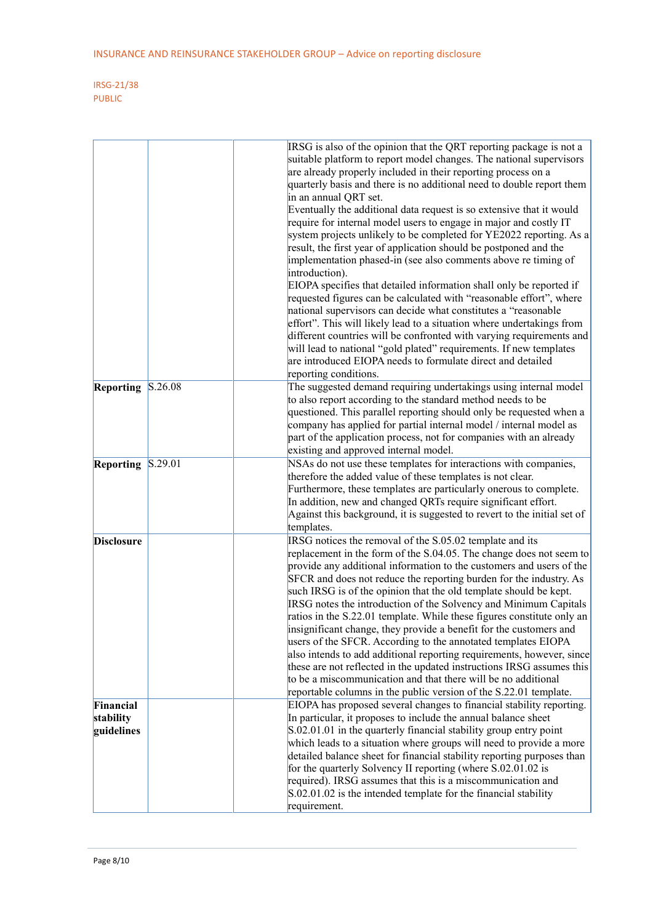|                      | IRSG is also of the opinion that the QRT reporting package is not a      |
|----------------------|--------------------------------------------------------------------------|
|                      | suitable platform to report model changes. The national supervisors      |
|                      | are already properly included in their reporting process on a            |
|                      | quarterly basis and there is no additional need to double report them    |
|                      | in an annual QRT set.                                                    |
|                      | Eventually the additional data request is so extensive that it would     |
|                      | require for internal model users to engage in major and costly IT        |
|                      | system projects unlikely to be completed for YE2022 reporting. As a      |
|                      |                                                                          |
|                      | result, the first year of application should be postponed and the        |
|                      | implementation phased-in (see also comments above re timing of           |
|                      | introduction).                                                           |
|                      | EIOPA specifies that detailed information shall only be reported if      |
|                      | requested figures can be calculated with "reasonable effort", where      |
|                      | national supervisors can decide what constitutes a "reasonable           |
|                      | effort". This will likely lead to a situation where undertakings from    |
|                      | different countries will be confronted with varying requirements and     |
|                      | will lead to national "gold plated" requirements. If new templates       |
|                      | are introduced EIOPA needs to formulate direct and detailed              |
|                      | reporting conditions.                                                    |
| S.26.08<br>Reporting | The suggested demand requiring undertakings using internal model         |
|                      | to also report according to the standard method needs to be              |
|                      | questioned. This parallel reporting should only be requested when a      |
|                      | company has applied for partial internal model / internal model as       |
|                      | part of the application process, not for companies with an already       |
|                      | existing and approved internal model.                                    |
| Reporting<br>S.29.01 | NSAs do not use these templates for interactions with companies,         |
|                      | therefore the added value of these templates is not clear.               |
|                      | Furthermore, these templates are particularly onerous to complete.       |
|                      | In addition, new and changed QRTs require significant effort.            |
|                      | Against this background, it is suggested to revert to the initial set of |
|                      | templates.                                                               |
| <b>Disclosure</b>    | IRSG notices the removal of the S.05.02 template and its                 |
|                      | replacement in the form of the S.04.05. The change does not seem to      |
|                      | provide any additional information to the customers and users of the     |
|                      |                                                                          |
|                      | SFCR and does not reduce the reporting burden for the industry. As       |
|                      | such IRSG is of the opinion that the old template should be kept.        |
|                      | IRSG notes the introduction of the Solvency and Minimum Capitals         |
|                      | ratios in the S.22.01 template. While these figures constitute only an   |
|                      | insignificant change, they provide a benefit for the customers and       |
|                      | users of the SFCR. According to the annotated templates EIOPA            |
|                      | also intends to add additional reporting requirements, however, since    |
|                      | these are not reflected in the updated instructions IRSG assumes this    |
|                      | to be a miscommunication and that there will be no additional            |
|                      | reportable columns in the public version of the S.22.01 template.        |
| Financial            | EIOPA has proposed several changes to financial stability reporting.     |
| stability            | In particular, it proposes to include the annual balance sheet           |
| guidelines           | S.02.01.01 in the quarterly financial stability group entry point        |
|                      | which leads to a situation where groups will need to provide a more      |
|                      | detailed balance sheet for financial stability reporting purposes than   |
|                      | for the quarterly Solvency II reporting (where S.02.01.02 is             |
|                      | required). IRSG assumes that this is a miscommunication and              |
|                      | $\vert$ S.02.01.02 is the intended template for the financial stability  |
|                      | requirement.                                                             |
|                      |                                                                          |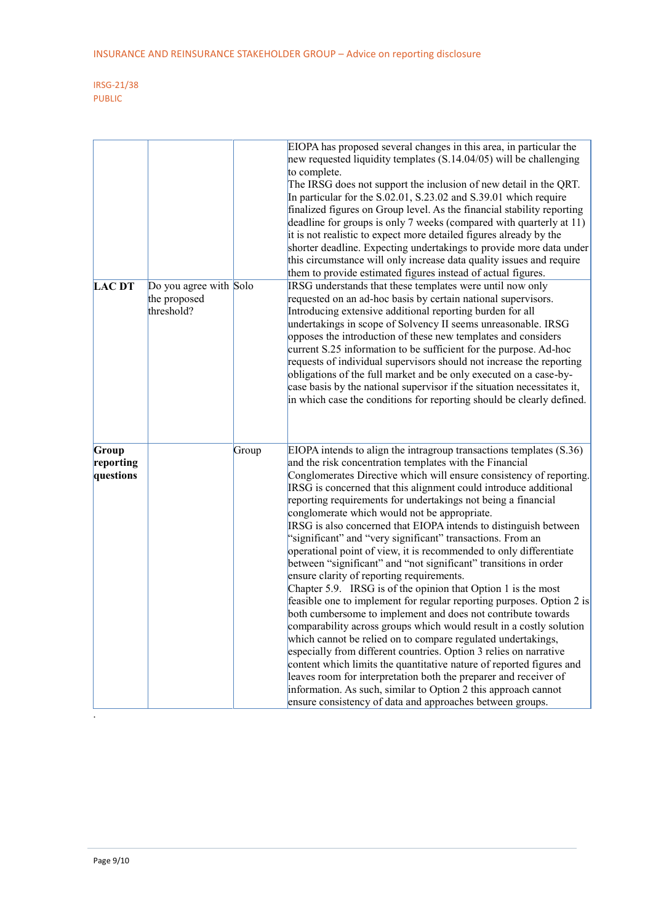|                                 |                                                      |       | EIOPA has proposed several changes in this area, in particular the<br>new requested liquidity templates $(S.14.04/05)$ will be challenging<br>to complete.<br>The IRSG does not support the inclusion of new detail in the QRT.<br>In particular for the S.02.01, S.23.02 and S.39.01 which require<br>finalized figures on Group level. As the financial stability reporting<br>deadline for groups is only 7 weeks (compared with quarterly at 11)<br>it is not realistic to expect more detailed figures already by the<br>shorter deadline. Expecting undertakings to provide more data under<br>this circumstance will only increase data quality issues and require<br>them to provide estimated figures instead of actual figures.                                                                                                                                                                                                                                                                                                                                                                                                                                                                                                                                                                                                                                                                              |
|---------------------------------|------------------------------------------------------|-------|------------------------------------------------------------------------------------------------------------------------------------------------------------------------------------------------------------------------------------------------------------------------------------------------------------------------------------------------------------------------------------------------------------------------------------------------------------------------------------------------------------------------------------------------------------------------------------------------------------------------------------------------------------------------------------------------------------------------------------------------------------------------------------------------------------------------------------------------------------------------------------------------------------------------------------------------------------------------------------------------------------------------------------------------------------------------------------------------------------------------------------------------------------------------------------------------------------------------------------------------------------------------------------------------------------------------------------------------------------------------------------------------------------------------|
| <b>LAC DT</b>                   | Do you agree with Solo<br>the proposed<br>threshold? |       | IRSG understands that these templates were until now only<br>requested on an ad-hoc basis by certain national supervisors.<br>Introducing extensive additional reporting burden for all<br>undertakings in scope of Solvency II seems unreasonable. IRSG<br>opposes the introduction of these new templates and considers<br>current S.25 information to be sufficient for the purpose. Ad-hoc<br>requests of individual supervisors should not increase the reporting<br>obligations of the full market and be only executed on a case-by-<br>case basis by the national supervisor if the situation necessitates it,<br>in which case the conditions for reporting should be clearly defined.                                                                                                                                                                                                                                                                                                                                                                                                                                                                                                                                                                                                                                                                                                                        |
| Group<br>reporting<br>questions |                                                      | Group | EIOPA intends to align the intragroup transactions templates $(S.36)$<br>and the risk concentration templates with the Financial<br>Conglomerates Directive which will ensure consistency of reporting.<br>IRSG is concerned that this alignment could introduce additional<br>reporting requirements for undertakings not being a financial<br>conglomerate which would not be appropriate.<br>IRSG is also concerned that EIOPA intends to distinguish between<br>"significant" and "very significant" transactions. From an<br>operational point of view, it is recommended to only differentiate<br>between "significant" and "not significant" transitions in order<br>ensure clarity of reporting requirements.<br>Chapter 5.9. IRSG is of the opinion that Option 1 is the most<br>feasible one to implement for regular reporting purposes. Option 2 is<br>both cumbersome to implement and does not contribute towards<br>comparability across groups which would result in a costly solution<br>which cannot be relied on to compare regulated undertakings,<br>especially from different countries. Option 3 relies on narrative<br>content which limits the quantitative nature of reported figures and<br>leaves room for interpretation both the preparer and receiver of<br>information. As such, similar to Option 2 this approach cannot<br>ensure consistency of data and approaches between groups. |